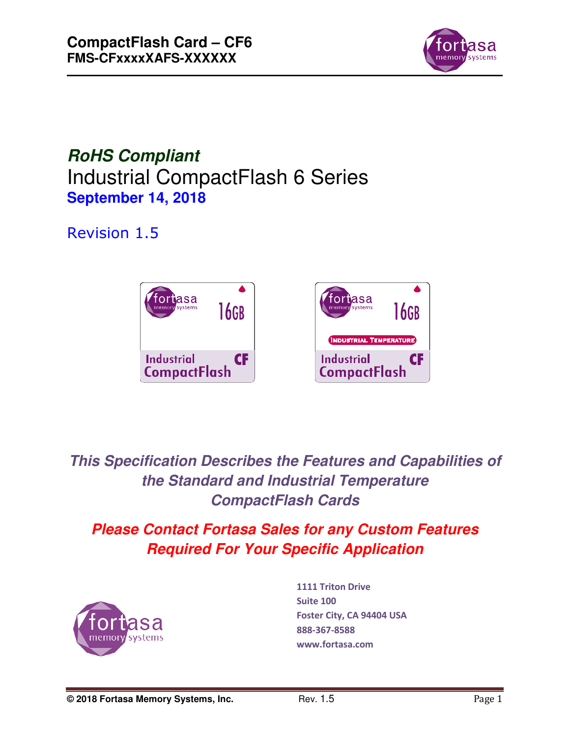

*RoHS Compliant*  Industrial CompactFlash 6 Series **September 14, 2018** 

# Revision 1.5



*This Specification Describes the Features and Capabilities of the Standard and Industrial Temperature CompactFlash Cards* 

# *Please Contact Fortasa Sales for any Custom Features Required For Your Specific Application*



**1111 Triton Drive Suite 100 Foster City, CA 94404 USA 888-367-8588 www.fortasa.com**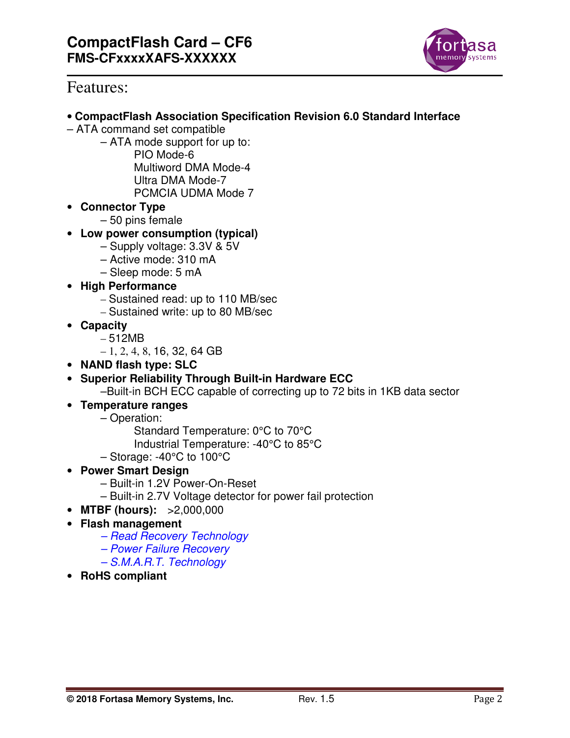

# Features:

- **CompactFlash Association Specification Revision 6.0 Standard Interface**
- ATA command set compatible
	- ATA mode support for up to:
		- PIO Mode-6 Multiword DMA Mode-4 Ultra DMA Mode-7
			- PCMCIA UDMA Mode 7
- **Connector Type** 
	- 50 pins female
- **Low power consumption (typical)** 
	- Supply voltage: 3.3V & 5V
	- Active mode: 310 mA
	- Sleep mode: 5 mA
- **High Performance** 
	- Sustained read: up to 110 MB/sec
	- Sustained write: up to 80 MB/sec
- **Capacity** 
	- 512MB
	- $-1, 2, 4, 8, 16, 32, 64$  GB
- **NAND flash type: SLC**
- **Superior Reliability Through Built-in Hardware ECC**

–Built-in BCH ECC capable of correcting up to 72 bits in 1KB data sector

- **Temperature ranges** 
	- Operation:
		- Standard Temperature: 0°C to 70°C
		- Industrial Temperature: -40°C to 85°C
	- Storage: -40°C to 100°C
- **Power Smart Design** 
	- Built-in 1.2V Power-On-Reset
	- Built-in 2.7V Voltage detector for power fail protection
- **MTBF (hours):** >2,000,000
- **Flash management** 
	- Read Recovery Technology
	- Power Failure Recovery
	- S.M.A.R.T. Technology
- **RoHS compliant**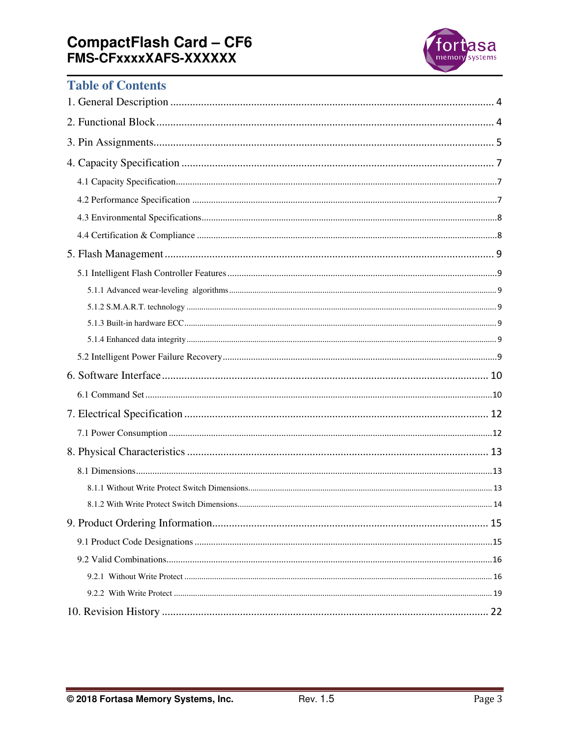# **CompactFlash Card - CF6<br>FMS-CFxxxxXAFS-XXXXXX**



# **Table of Contents**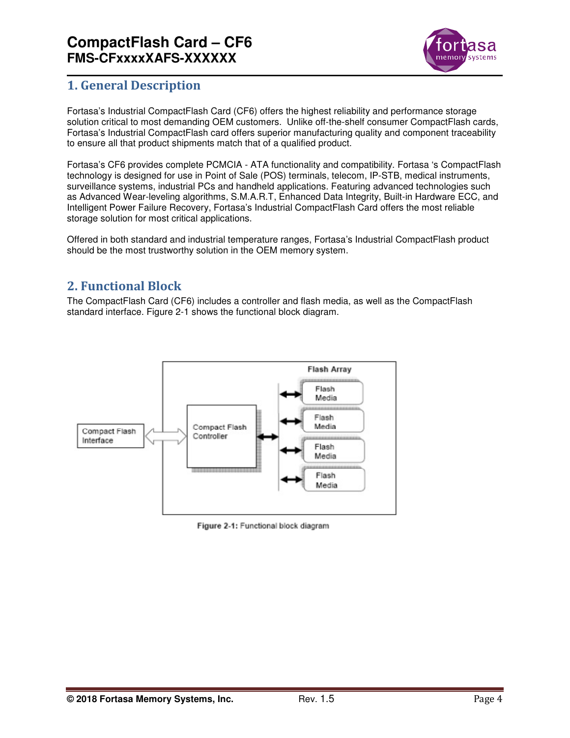

# **1. General Description**

Fortasa's Industrial CompactFlash Card (CF6) offers the highest reliability and performance storage solution critical to most demanding OEM customers. Unlike off-the-shelf consumer CompactFlash cards, Fortasa's Industrial CompactFlash card offers superior manufacturing quality and component traceability to ensure all that product shipments match that of a qualified product.

Fortasa's CF6 provides complete PCMCIA - ATA functionality and compatibility. Fortasa 's CompactFlash technology is designed for use in Point of Sale (POS) terminals, telecom, IP-STB, medical instruments, surveillance systems, industrial PCs and handheld applications. Featuring advanced technologies such as Advanced Wear-leveling algorithms, S.M.A.R.T, Enhanced Data Integrity, Built-in Hardware ECC, and Intelligent Power Failure Recovery, Fortasa's Industrial CompactFlash Card offers the most reliable storage solution for most critical applications.

Offered in both standard and industrial temperature ranges, Fortasa's Industrial CompactFlash product should be the most trustworthy solution in the OEM memory system.

# **2. Functional Block**

The CompactFlash Card (CF6) includes a controller and flash media, as well as the CompactFlash standard interface. Figure 2-1 shows the functional block diagram.



Figure 2-1: Functional block diagram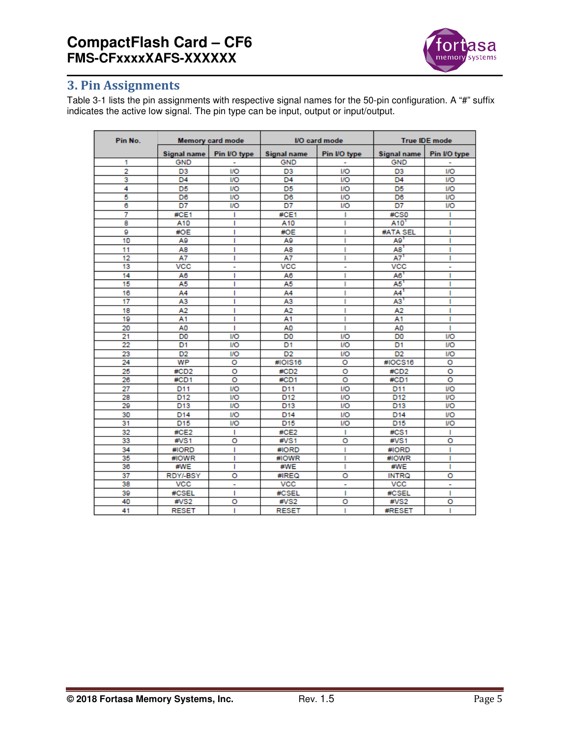

# **3. Pin Assignments**

Table 3-1 lists the pin assignments with respective signal names for the 50-pin configuration. A "#" suffix indicates the active low signal. The pin type can be input, output or input/output.

| Pin No.         |                    | <b>Memory card mode</b> |                                    | I/O card mode           |                    | <b>True IDE mode</b> |
|-----------------|--------------------|-------------------------|------------------------------------|-------------------------|--------------------|----------------------|
|                 | <b>Signal name</b> | Pin I/O type            | Pin I/O type<br><b>Signal name</b> |                         | <b>Signal name</b> | Pin I/O type         |
| 1               | <b>GND</b>         | ۰                       | <b>GND</b>                         | ۰                       | <b>GND</b>         | ۰                    |
| $\overline{2}$  | D <sub>3</sub>     | <b>I/O</b>              | D <sub>3</sub>                     | <b>I/O</b>              | D <sub>3</sub>     | <b>I/O</b>           |
| 3               | D <sub>4</sub>     | I/O                     | D <sub>4</sub>                     | I/O                     | D <sub>4</sub>     | <b>I/O</b>           |
| 4               | D <sub>5</sub>     | <b>I/O</b>              | D <sub>5</sub>                     | I/O                     | D <sub>5</sub>     | <b>I/O</b>           |
| 5               | D6                 | <b>I/O</b>              | D <sub>6</sub>                     | <b>I/O</b>              | D <sub>6</sub>     | <b>I/O</b>           |
| 6               | D7                 | I/O                     | D7                                 | I/O                     | D7                 | <b>I/O</b>           |
| 7               | #CE1               | т                       | #CE1                               | ı                       | #CS0               | т                    |
| 8               | A10                | ı                       | A10                                | ı                       | A10 <sup>1</sup>   | I                    |
| g               | #OE                | T                       | #OE                                | ı                       | #ATA SEL           | I                    |
| 10              | A9                 | ı                       | A9                                 | п                       | A9 <sup>1</sup>    | ı                    |
| 11              | A8                 | ı                       | A8                                 | ı                       | A8                 | ı                    |
| 12              | A7                 | ı                       | A7                                 | ı                       | A7 <sup>1</sup>    | ı                    |
| 13              | <b>VCC</b>         | ۰                       | <b>VCC</b>                         | ۰                       | <b>VCC</b>         | ٠                    |
| 14              | A6                 | ı                       | A <sub>6</sub>                     | п                       | $A6$ <sup>1</sup>  | ı                    |
| 15              | A5                 | ı                       | A5                                 | ı                       | $A5$ <sup>1</sup>  | ı                    |
| 16              | A4                 | T                       | A4                                 | ı                       | AA <sup>1</sup>    | ı                    |
| 17              | A3                 | ı                       | A3                                 |                         | A3                 | ı                    |
| 18              | A2                 | ı                       | A2                                 |                         | A <sub>2</sub>     | ı                    |
| 19              | Α1                 | ı                       | A1                                 |                         | A1                 | ı                    |
| 20              | AO                 | т                       | AO                                 | ı                       | AO                 | ı                    |
| 21              | D <sub>0</sub>     | IЮ                      | D <sub>0</sub>                     | 1/O                     | D <sub>0</sub>     | <b>I/O</b>           |
| 22              | D1                 | IЮ                      | D1                                 | 1/O                     | D1                 | <b>I/O</b>           |
| 23              | D <sub>2</sub>     | IЮ                      | D <sub>2</sub>                     | I/O                     | D <sub>2</sub>     | <b>I/O</b>           |
| 24              | WP                 | o                       | #IOIS16                            | ō                       | #IOCS16            | o                    |
| 25              | #CD2               | o                       | #CD2                               | o                       | #CD2               | o                    |
| 26              | #CD1               | o                       | #CD1                               | $\overline{\mathbf{o}}$ | #CD1               | o                    |
| 27              | D11                | <b>I/O</b>              | D11                                | <b>I/O</b>              | D11                | I/O                  |
| 28              | D <sub>12</sub>    | <b>I/O</b>              | D <sub>12</sub>                    | I/O                     | D <sub>12</sub>    | I/O                  |
| 29              | D <sub>13</sub>    | I/O                     | D <sub>13</sub>                    | I/O                     | D <sub>13</sub>    | I/O                  |
| 30              | D <sub>14</sub>    | <b>I/O</b>              | D <sub>14</sub>                    | <b>I/O</b>              | D <sub>14</sub>    | I/O                  |
| $\overline{31}$ | D <sub>15</sub>    | <b>I/O</b>              | D <sub>15</sub>                    | I/O                     | D <sub>15</sub>    | <b>I/O</b>           |
| 32              | #CE2               | т                       | #CE2                               | ı                       | #CS1               | т                    |
| 33              | #VS1               | o                       | #VS1                               | o                       | #VS1               | o                    |
| 34              | #IORD              | ı                       | #IORD                              | ı                       | #IORD              | ı                    |
| 35              | #IOWR              | ı                       | #IOWR                              | ı                       | #IOWR              | ı                    |
| 36              | #WE                | ı                       | #WE                                | ı                       | #WE                | ı                    |
| 37              | RDY/-BSY           | o                       | #IREQ                              | o                       | <b>INTRQ</b>       | o                    |
| 38              | <b>VCC</b>         | ۰                       | <b>VCC</b>                         | ٠                       | <b>VCC</b>         | ۰                    |
| 39              | #CSEL              | т                       | #CSEL                              | ı                       | #CSEL              | п                    |
| 40              | #VS2               | o                       | #VS2                               | o                       | #VS2               | o                    |
| 41              | <b>RESET</b>       | ı                       | <b>RESET</b>                       | ı                       | <b>#RESET</b>      | ı                    |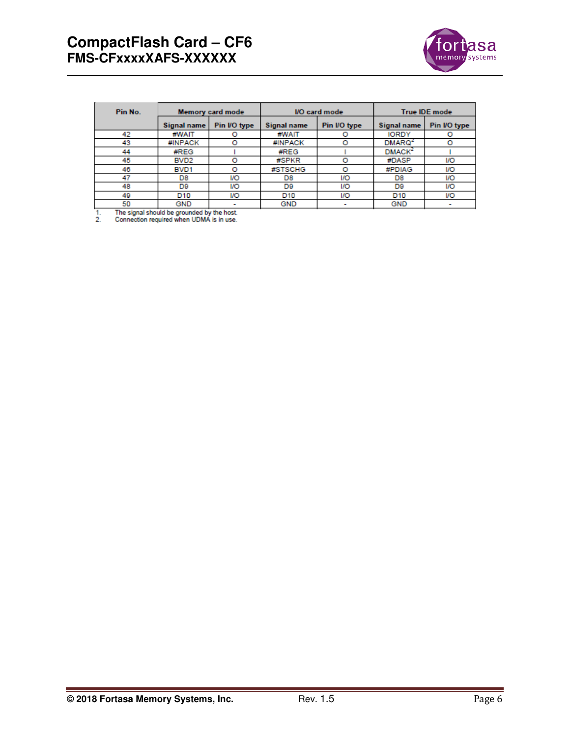

| Pin No. | Memory card mode |              | I/O card mode   |              | <b>True IDE mode</b> |                          |  |
|---------|------------------|--------------|-----------------|--------------|----------------------|--------------------------|--|
|         | Signal name      | Pin I/O type | Signal name     | Pin I/O type | Signal name          | Pin I/O type             |  |
| 42      | #WAIT            |              | #WAIT           |              | <b>IORDY</b>         |                          |  |
| 43      | #INPACK          | $\circ$      | #INPACK         |              | DMARQ <sup>2</sup>   |                          |  |
| 44      | #REG             |              | #REG            |              | DMACK <sup>2</sup>   |                          |  |
| 45      | BVD <sub>2</sub> | $\circ$      | #SPKR           | $\circ$      | #DASP                | I/O                      |  |
| 46      | <b>BVD1</b>      | O            | #STSCHG         | o            | #PDIAG               | <b>I/O</b>               |  |
| 47      | D8               | I/O          | D8              | 1/O          | D8                   | <b>I/O</b>               |  |
| 48      | D9               | I/O          | D9              | 1/O          | D9                   | <b>I/O</b>               |  |
| 49      | D10              | I/O          | D <sub>10</sub> | <b>I/O</b>   | D <sub>10</sub>      | I/O                      |  |
| 50      | GND              |              | GND             |              | <b>GND</b>           | $\overline{\phantom{a}}$ |  |

The signal should be grounded by the host.<br>Connection required when UDMA is in use.  $\frac{1}{2}$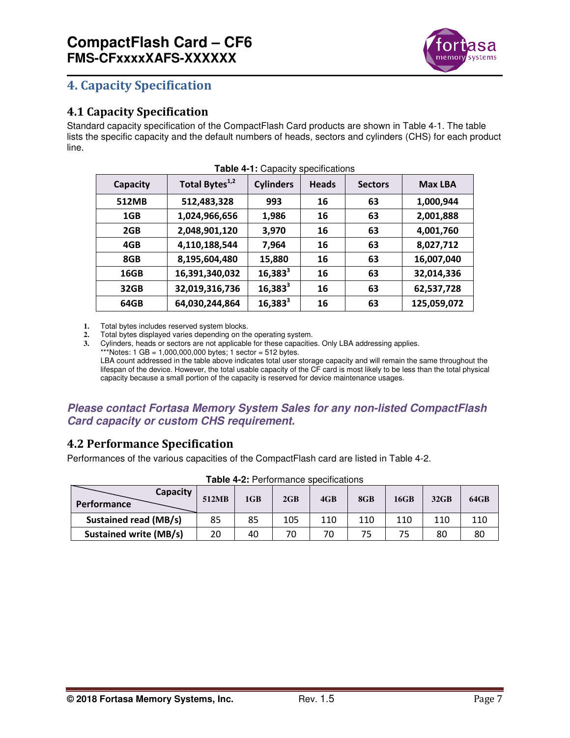

# **4. Capacity Specification**

# **4.1 Capacity Specification**

Standard capacity specification of the CompactFlash Card products are shown in Table 4-1. The table lists the specific capacity and the default numbers of heads, sectors and cylinders (CHS) for each product line.

| Capacity | Total Bytes <sup>1,2</sup> | <b>Cylinders</b> | <b>Heads</b> | <b>Sectors</b> | <b>Max LBA</b> |
|----------|----------------------------|------------------|--------------|----------------|----------------|
| 512MB    | 512,483,328                | 993              | 16           | 63             | 1,000,944      |
| 1GB      | 1,024,966,656              | 1,986            | 16           | 63             | 2,001,888      |
| 2GB      | 2,048,901,120              | 3,970            | 16           | 63             | 4,001,760      |
| 4GB      | 4,110,188,544              | 7,964            | 16           | 63             | 8,027,712      |
| 8GB      | 8,195,604,480              | 15,880           | 16           | 63             | 16,007,040     |
| 16GB     | 16,391,340,032             | $16,383^3$       | 16           | 63             | 32,014,336     |
| 32GB     | 32,019,316,736             | $16,383^3$       | 16           | 63             | 62,537,728     |
| 64GB     | 64,030,244,864             | $16,383^3$       | 16           | 63             | 125,059,072    |
|          |                            |                  |              |                |                |

|  |  | Table 4-1: Capacity specifications |
|--|--|------------------------------------|
|--|--|------------------------------------|

**1.** Total bytes includes reserved system blocks.

**2.** Total bytes displayed varies depending on the operating system.

**3.** Cylinders, heads or sectors are not applicable for these capacities. Only LBA addressing applies.

\*\*\*Notes:  $1 GB = 1,000,000,000$  bytes;  $1 sector = 512$  bytes.

LBA count addressed in the table above indicates total user storage capacity and will remain the same throughout the lifespan of the device. However, the total usable capacity of the CF card is most likely to be less than the total physical capacity because a small portion of the capacity is reserved for device maintenance usages.

# *Please contact Fortasa Memory System Sales for any non-listed CompactFlash Card capacity or custom CHS requirement.*

# **4.2 Performance Specification**

Performances of the various capacities of the CompactFlash card are listed in Table 4-2.

| Capacity<br><b>Performance</b> | 512MB | 1 <sub>GB</sub> | 2GB | 4GB | 8GB | 16GB | $32$ GB | 64GB |
|--------------------------------|-------|-----------------|-----|-----|-----|------|---------|------|
| <b>Sustained read (MB/s)</b>   | 85    | 85              | 105 | 110 | 110 | 110  | 110     | 110  |
| <b>Sustained write (MB/s)</b>  | 20    | 40              | 70  | 70  | 75  | 75   | 80      | 80   |

#### **Table 4-2:** Performance specifications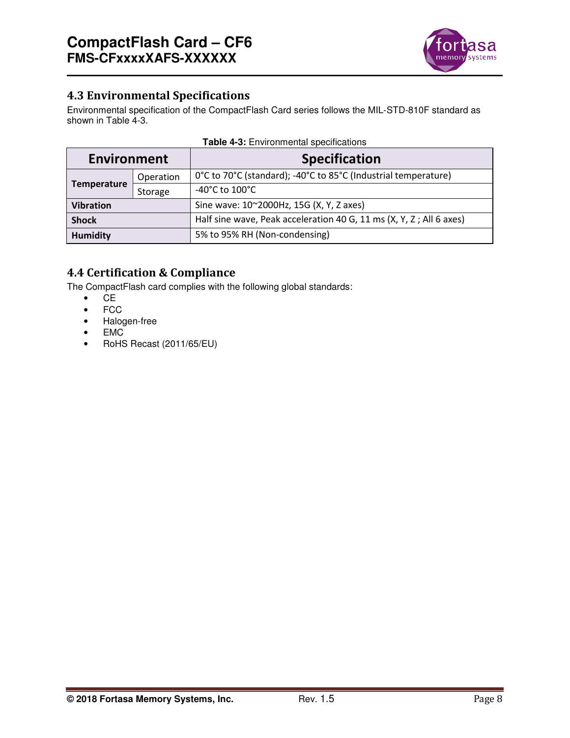

# **4.3 Environmental Specifications**

Environmental specification of the CompactFlash Card series follows the MIL-STD-810F standard as shown in Table 4-3.

| <b>Environment</b> |         | <b>Specification</b>                                                |
|--------------------|---------|---------------------------------------------------------------------|
| Operation          |         | 0°C to 70°C (standard); -40°C to 85°C (Industrial temperature)      |
| <b>Temperature</b> | Storage | -40°C to $100^{\circ}$ C                                            |
| <b>Vibration</b>   |         | Sine wave: 10~2000Hz, 15G (X, Y, Z axes)                            |
| <b>Shock</b>       |         | Half sine wave, Peak acceleration 40 G, 11 ms (X, Y, Z; All 6 axes) |
| <b>Humidity</b>    |         | 5% to 95% RH (Non-condensing)                                       |

|  | <b>Table 4-3: Environmental specifications</b> |  |
|--|------------------------------------------------|--|
|--|------------------------------------------------|--|

# **4.4 Certification & Compliance**

The CompactFlash card complies with the following global standards:

- CE
- FCC
- Halogen-free
- EMC<br>• RoHS
- RoHS Recast (2011/65/EU)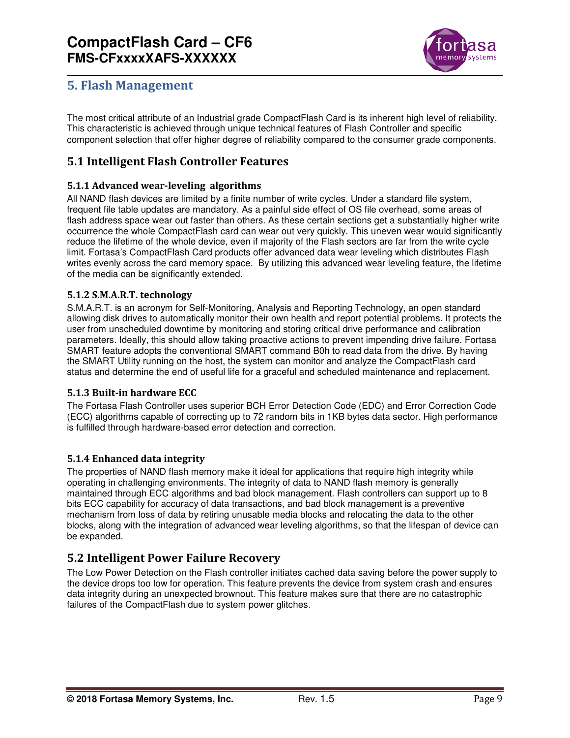

# **5. Flash Management**

The most critical attribute of an Industrial grade CompactFlash Card is its inherent high level of reliability. This characteristic is achieved through unique technical features of Flash Controller and specific component selection that offer higher degree of reliability compared to the consumer grade components.

# **5.1 Intelligent Flash Controller Features**

#### **5.1.1 Advanced wear-leveling algorithms**

All NAND flash devices are limited by a finite number of write cycles. Under a standard file system, frequent file table updates are mandatory. As a painful side effect of OS file overhead, some areas of flash address space wear out faster than others. As these certain sections get a substantially higher write occurrence the whole CompactFlash card can wear out very quickly. This uneven wear would significantly reduce the lifetime of the whole device, even if majority of the Flash sectors are far from the write cycle limit. Fortasa's CompactFlash Card products offer advanced data wear leveling which distributes Flash writes evenly across the card memory space. By utilizing this advanced wear leveling feature, the lifetime of the media can be significantly extended.

#### **5.1.2 S.M.A.R.T. technology**

S.M.A.R.T. is an acronym for Self-Monitoring, Analysis and Reporting Technology, an open standard allowing disk drives to automatically monitor their own health and report potential problems. It protects the user from unscheduled downtime by monitoring and storing critical drive performance and calibration parameters. Ideally, this should allow taking proactive actions to prevent impending drive failure. Fortasa SMART feature adopts the conventional SMART command B0h to read data from the drive. By having the SMART Utility running on the host, the system can monitor and analyze the CompactFlash card status and determine the end of useful life for a graceful and scheduled maintenance and replacement.

#### **5.1.3 Built-in hardware ECC**

The Fortasa Flash Controller uses superior BCH Error Detection Code (EDC) and Error Correction Code (ECC) algorithms capable of correcting up to 72 random bits in 1KB bytes data sector. High performance is fulfilled through hardware-based error detection and correction.

#### **5.1.4 Enhanced data integrity**

The properties of NAND flash memory make it ideal for applications that require high integrity while operating in challenging environments. The integrity of data to NAND flash memory is generally maintained through ECC algorithms and bad block management. Flash controllers can support up to 8 bits ECC capability for accuracy of data transactions, and bad block management is a preventive mechanism from loss of data by retiring unusable media blocks and relocating the data to the other blocks, along with the integration of advanced wear leveling algorithms, so that the lifespan of device can be expanded.

# **5.2 Intelligent Power Failure Recovery**

The Low Power Detection on the Flash controller initiates cached data saving before the power supply to the device drops too low for operation. This feature prevents the device from system crash and ensures data integrity during an unexpected brownout. This feature makes sure that there are no catastrophic failures of the CompactFlash due to system power glitches.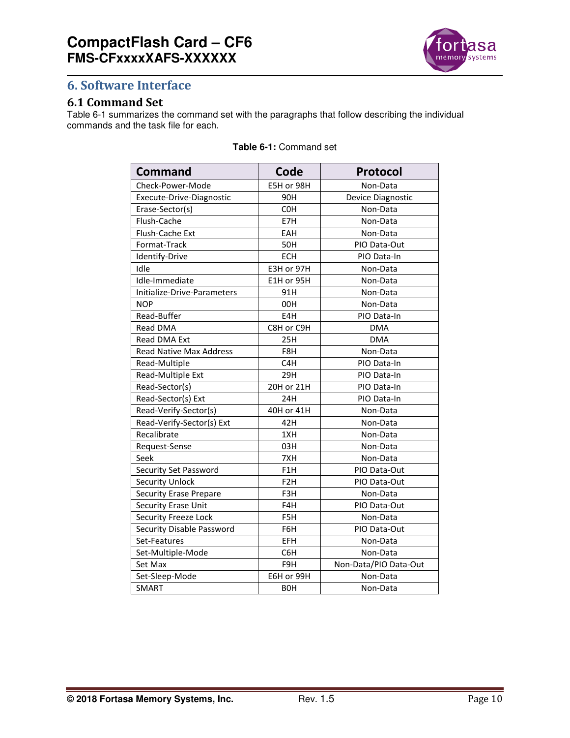

# **6. Software Interface**

## **6.1 Command Set**

Table 6-1 summarizes the command set with the paragraphs that follow describing the individual commands and the task file for each.

| <b>Command</b>                 | Code             | Protocol              |
|--------------------------------|------------------|-----------------------|
| Check-Power-Mode               | E5H or 98H       | Non-Data              |
| Execute-Drive-Diagnostic       | 90H              | Device Diagnostic     |
| Erase-Sector(s)                | C <sub>O</sub> H | Non-Data              |
| Flush-Cache                    | E7H              | Non-Data              |
| Flush-Cache Ext                | EAH              | Non-Data              |
| Format-Track                   | <b>50H</b>       | PIO Data-Out          |
| Identify-Drive                 | <b>ECH</b>       | PIO Data-In           |
| Idle                           | E3H or 97H       | Non-Data              |
| Idle-Immediate                 | E1H or 95H       | Non-Data              |
| Initialize-Drive-Parameters    | 91H              | Non-Data              |
| <b>NOP</b>                     | 00H              | Non-Data              |
| Read-Buffer                    | E4H              | PIO Data-In           |
| Read DMA                       | C8H or C9H       | <b>DMA</b>            |
| Read DMA Ext                   | 25H              | <b>DMA</b>            |
| <b>Read Native Max Address</b> | F8H              | Non-Data              |
| Read-Multiple                  | C4H              | PIO Data-In           |
| Read-Multiple Ext              | 29H              | PIO Data-In           |
| Read-Sector(s)                 | 20H or 21H       | PIO Data-In           |
| Read-Sector(s) Ext             | 24H              | PIO Data-In           |
| Read-Verify-Sector(s)          | 40H or 41H       | Non-Data              |
| Read-Verify-Sector(s) Ext      | 42H              | Non-Data              |
| Recalibrate                    | 1XH              | Non-Data              |
| Request-Sense                  | 03H              | Non-Data              |
| Seek                           | 7XH              | Non-Data              |
| Security Set Password          | F <sub>1</sub> H | PIO Data-Out          |
| <b>Security Unlock</b>         | F <sub>2</sub> H | PIO Data-Out          |
| <b>Security Erase Prepare</b>  | F3H              | Non-Data              |
| Security Erase Unit            | F4H              | PIO Data-Out          |
| Security Freeze Lock           | F5H              | Non-Data              |
| Security Disable Password      | F6H              | PIO Data-Out          |
| Set-Features                   | EFH              | Non-Data              |
| Set-Multiple-Mode              | C6H              | Non-Data              |
| Set Max                        | F9H              | Non-Data/PIO Data-Out |
| Set-Sleep-Mode                 | E6H or 99H       | Non-Data              |
| <b>SMART</b>                   | <b>BOH</b>       | Non-Data              |

#### **Table 6-1:** Command set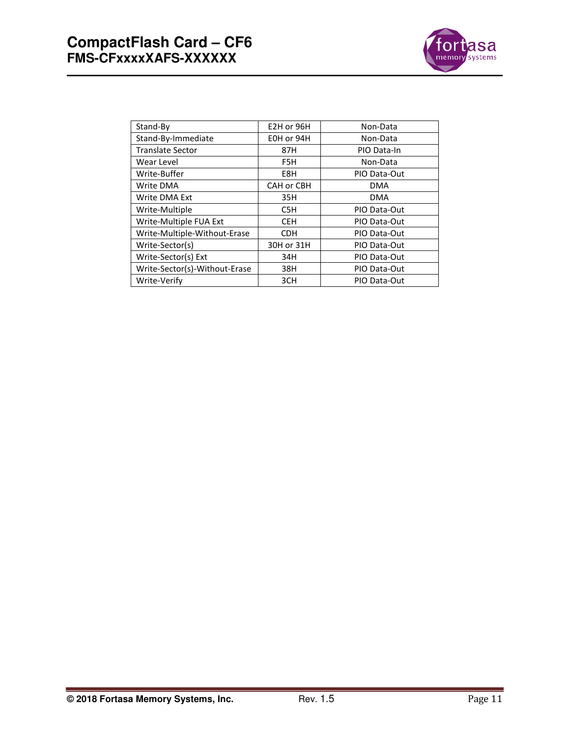

| Stand-By                      | E2H or 96H | Non-Data     |
|-------------------------------|------------|--------------|
| Stand-By-Immediate            | E0H or 94H | Non-Data     |
| <b>Translate Sector</b>       | 87H        | PIO Data-In  |
| Wear Level                    | F5H        | Non-Data     |
| Write-Buffer                  | E8H        | PIO Data-Out |
| Write DMA                     | CAH or CBH | <b>DMA</b>   |
| Write DMA Ext                 | 35H        | <b>DMA</b>   |
| Write-Multiple                | C5H        | PIO Data-Out |
| Write-Multiple FUA Ext        | <b>CEH</b> | PIO Data-Out |
| Write-Multiple-Without-Erase  | <b>CDH</b> | PIO Data-Out |
| Write-Sector(s)               | 30H or 31H | PIO Data-Out |
| Write-Sector(s) Ext           | 34H        | PIO Data-Out |
| Write-Sector(s)-Without-Erase | 38H        | PIO Data-Out |
| Write-Verify                  | 3CH        | PIO Data-Out |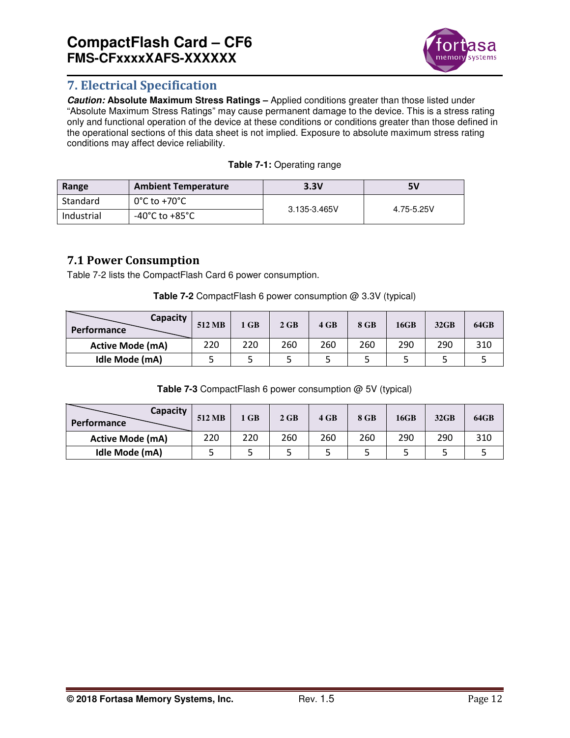

# **7. Electrical Specification**

*Caution:* **Absolute Maximum Stress Ratings –** Applied conditions greater than those listed under "Absolute Maximum Stress Ratings" may cause permanent damage to the device. This is a stress rating only and functional operation of the device at these conditions or conditions greater than those defined in the operational sections of this data sheet is not implied. Exposure to absolute maximum stress rating conditions may affect device reliability.

| Range      | <b>Ambient Temperature</b>        | 3.3V         | 5۷         |  |
|------------|-----------------------------------|--------------|------------|--|
| Standard   | $0^{\circ}$ C to +70 $^{\circ}$ C | 3.135-3.465V | 4.75-5.25V |  |
| Industrial | -40°C to +85°C                    |              |            |  |

# **7.1 Power Consumption**

Table 7-2 lists the CompactFlash Card 6 power consumption.

| <b>Table 7-2</b> CompactFlash 6 power consumption $@$ 3.3V (typical) |  |
|----------------------------------------------------------------------|--|
|----------------------------------------------------------------------|--|

| <b>Capacity</b><br><b>Performance</b> | 512 MB | l GB | 2 GB | 4 GB | 8 GB | 16GB | 32GB | 64GB |
|---------------------------------------|--------|------|------|------|------|------|------|------|
| <b>Active Mode (mA)</b>               | 220    | 220  | 260  | 260  | 260  | 290  | 290  | 310  |
| Idle Mode (mA)                        |        |      |      |      |      |      |      |      |

**Table 7-3** CompactFlash 6 power consumption @ 5V (typical)

| Capacity<br><b>Performance</b> | 512 MB | 1 GB | $2$ GB | 4 GB | 8 GB | 16GB | 32GB | 64GB |
|--------------------------------|--------|------|--------|------|------|------|------|------|
| <b>Active Mode (mA)</b>        | 220    | 220  | 260    | 260  | 260  | 290  | 290  | 310  |
| Idle Mode (mA)                 |        |      |        |      |      |      |      |      |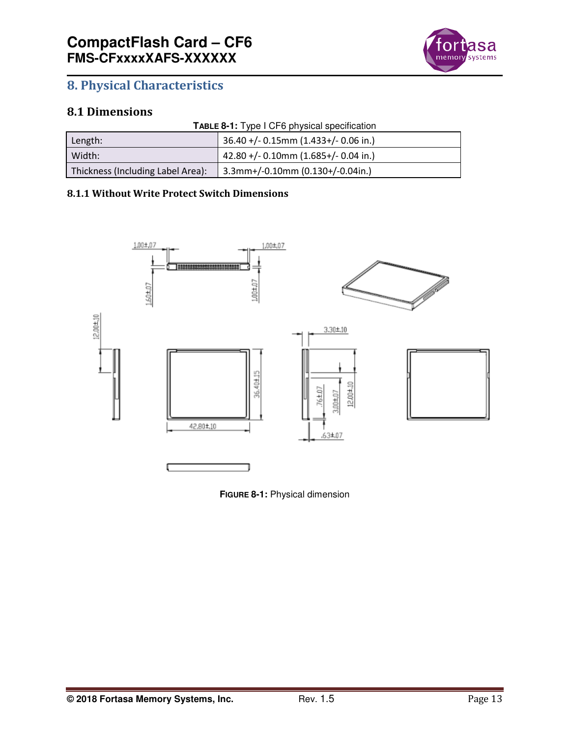

# **8. Physical Characteristics**

# **8.1 Dimensions**

|  |  | TABLE 8-1: Type I CF6 physical specification |
|--|--|----------------------------------------------|
|  |  |                                              |

| Length:                           | $36.40 + (-0.15)$ mm (1.433+/-0.06 in.)  |
|-----------------------------------|------------------------------------------|
| Width:                            | $42.80 + (-0.10$ mm $(1.685+/-0.04$ in.) |
| Thickness (Including Label Area): | $3.3$ mm+/-0.10mm (0.130+/-0.04in.)      |

#### **8.1.1 Without Write Protect Switch Dimensions**



**FIGURE 8-1:** Physical dimension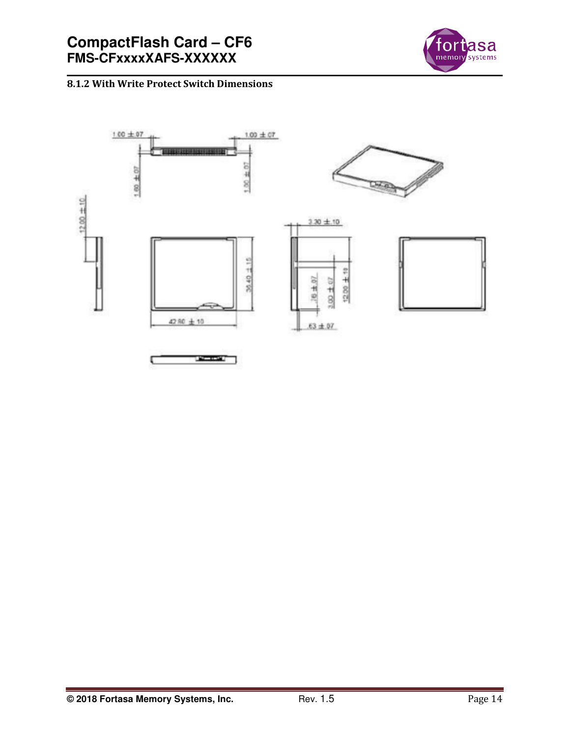

# **8.1.2 With Write Protect Switch Dimensions**

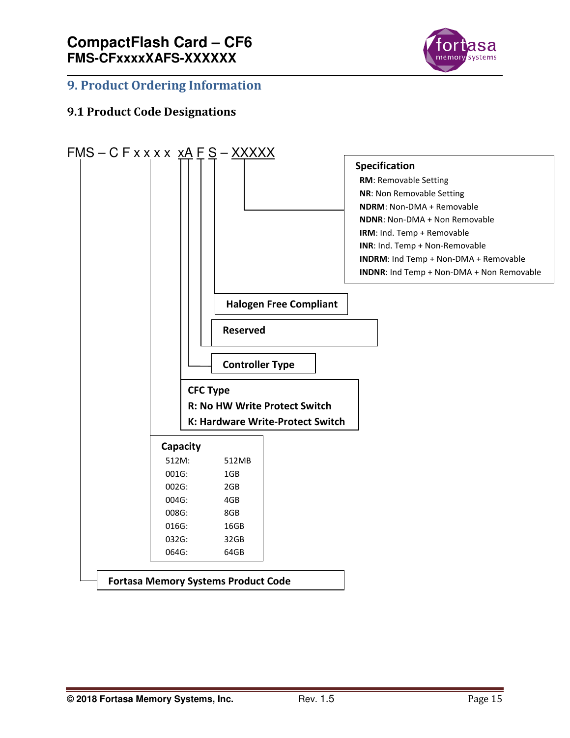

# **9. Product Ordering Information**

# **9.1 Product Code Designations**

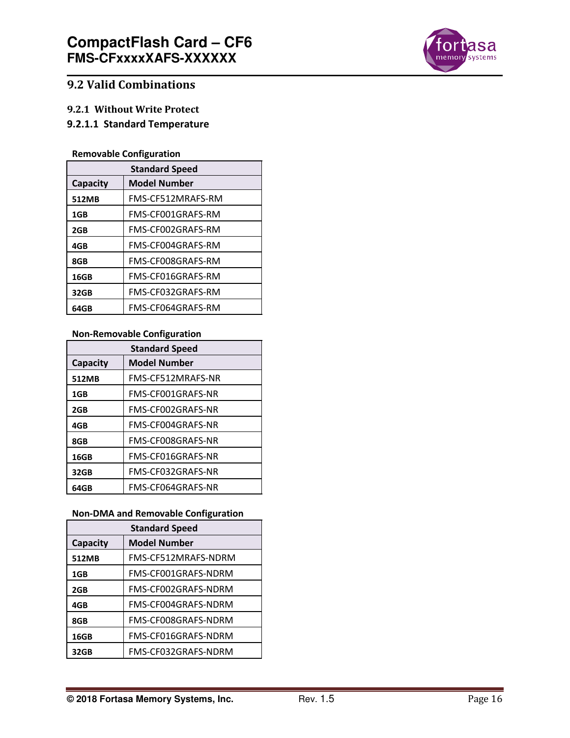

# **9.2 Valid Combinations**

#### **9.2.1 Without Write Protect**

# **9.2.1.1 Standard Temperature**

#### **Removable Configuration**

| <b>Standard Speed</b> |                     |  |  |
|-----------------------|---------------------|--|--|
| Capacity              | <b>Model Number</b> |  |  |
| 512MB                 | FMS-CF512MRAFS-RM   |  |  |
| 1GB                   | FMS-CF001GRAFS-RM   |  |  |
| 2GB                   | FMS-CF002GRAFS-RM   |  |  |
| 4GB                   | FMS-CF004GRAFS-RM   |  |  |
| 8GB                   | FMS-CF008GRAFS-RM   |  |  |
| 16GB                  | FMS-CF016GRAFS-RM   |  |  |
| 32GB                  | FMS-CF032GRAFS-RM   |  |  |
| 64GB                  | FMS-CF064GRAFS-RM   |  |  |

## **Non-Removable Configuration**

| <b>Standard Speed</b> |                     |  |  |
|-----------------------|---------------------|--|--|
| Capacity              | <b>Model Number</b> |  |  |
| 512MB                 | FMS-CF512MRAFS-NR   |  |  |
| 1GB                   | FMS-CF001GRAFS-NR   |  |  |
| 2GB                   | FMS-CF002GRAFS-NR   |  |  |
| 4GB                   | FMS-CF004GRAFS-NR   |  |  |
| 8GB                   | FMS-CF008GRAFS-NR   |  |  |
| 16GB                  | FMS-CF016GRAFS-NR   |  |  |
| 32GB                  | FMS-CF032GRAFS-NR   |  |  |
| 64GB                  | FMS-CF064GRAFS-NR   |  |  |

#### **Non-DMA and Removable Configuration**

| <b>Standard Speed</b> |                     |  |  |
|-----------------------|---------------------|--|--|
| <b>Capacity</b>       | <b>Model Number</b> |  |  |
| 512MB                 | FMS-CF512MRAFS-NDRM |  |  |
| 1GB                   | FMS-CF001GRAFS-NDRM |  |  |
| 2GB                   | FMS-CF002GRAFS-NDRM |  |  |
| 4GB                   | FMS-CF004GRAFS-NDRM |  |  |
| 8GB                   | FMS-CF008GRAFS-NDRM |  |  |
| 16GB                  | FMS-CF016GRAFS-NDRM |  |  |
| 32GB                  | FMS-CF032GRAFS-NDRM |  |  |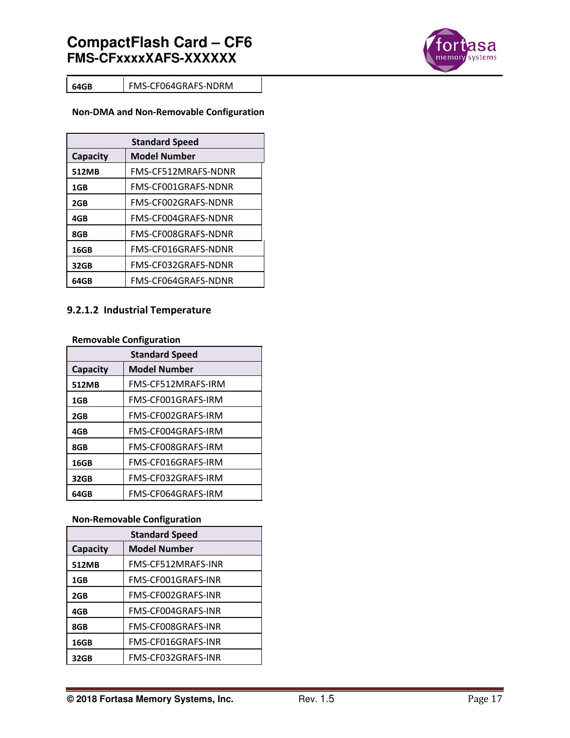

**64GB** FMS-CF064GRAFS-NDRM

#### **Non-DMA and Non-Removable Configuration**

| <b>Standard Speed</b> |                     |  |  |
|-----------------------|---------------------|--|--|
| Capacity              | <b>Model Number</b> |  |  |
| 512MB                 | FMS-CF512MRAFS-NDNR |  |  |
| 1GB                   | FMS-CF001GRAFS-NDNR |  |  |
| 2GB                   | FMS-CF002GRAFS-NDNR |  |  |
| 4GB                   | FMS-CF004GRAFS-NDNR |  |  |
| 8GB                   | FMS-CF008GRAFS-NDNR |  |  |
| 16GB                  | FMS-CF016GRAFS-NDNR |  |  |
| 32GB                  | FMS-CF032GRAFS-NDNR |  |  |
| 64GB                  | FMS-CF064GRAFS-NDNR |  |  |

# **9.2.1.2 Industrial Temperature**

#### **Removable Configuration**

| <b>Standard Speed</b> |                     |  |  |
|-----------------------|---------------------|--|--|
| Capacity              | <b>Model Number</b> |  |  |
| 512MB                 | FMS-CF512MRAFS-IRM  |  |  |
| 1GB                   | FMS-CF001GRAFS-IRM  |  |  |
| 2GB                   | FMS-CF002GRAFS-IRM  |  |  |
| 4GB                   | FMS-CF004GRAFS-IRM  |  |  |
| 8GB                   | FMS-CF008GRAFS-IRM  |  |  |
| 16GB                  | FMS-CF016GRAFS-IRM  |  |  |
| 32GB                  | FMS-CF032GRAFS-IRM  |  |  |
| 64GB                  | FMS-CF064GRAFS-IRM  |  |  |

#### **Non-Removable Configuration**

| <b>Standard Speed</b> |                     |  |  |
|-----------------------|---------------------|--|--|
| Capacity              | <b>Model Number</b> |  |  |
| 512MB                 | FMS-CF512MRAFS-INR  |  |  |
| 1GB                   | FMS-CF001GRAFS-INR  |  |  |
| 2GB                   | FMS-CF002GRAFS-INR  |  |  |
| 4GB                   | FMS-CF004GRAFS-INR  |  |  |
| 8GB                   | FMS-CF008GRAFS-INR  |  |  |
| 16GB                  | FMS-CF016GRAFS-INR  |  |  |
| 32GB                  | FMS-CF032GRAFS-INR  |  |  |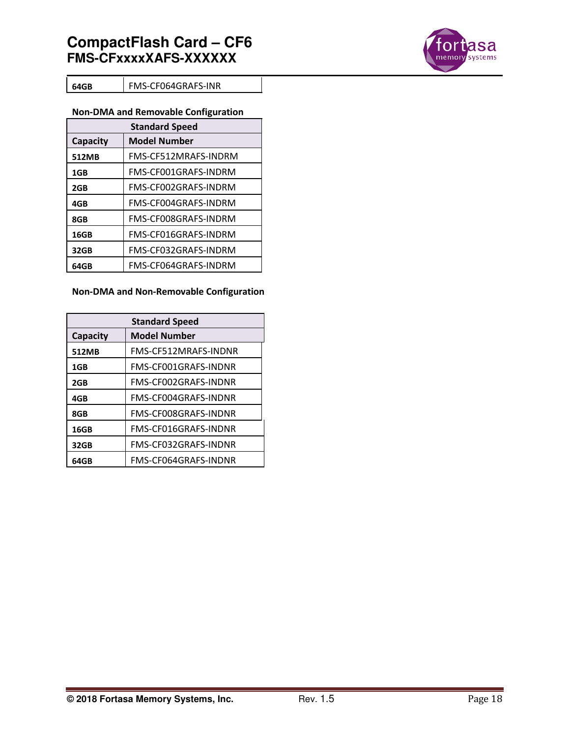

#### **64GB** FMS-CF064GRAFS-INR

#### **Non-DMA and Removable Configuration**

| <b>Standard Speed</b> |                      |  |  |
|-----------------------|----------------------|--|--|
| Capacity              | <b>Model Number</b>  |  |  |
| 512MB                 | FMS-CF512MRAFS-INDRM |  |  |
| 1GB                   | FMS-CF001GRAFS-INDRM |  |  |
| 2GB                   | FMS-CF002GRAFS-INDRM |  |  |
| 4GB                   | FMS-CF004GRAFS-INDRM |  |  |
| 8GB                   | FMS-CF008GRAFS-INDRM |  |  |
| 16GB                  | FMS-CF016GRAFS-INDRM |  |  |
| 32GB                  | FMS-CF032GRAFS-INDRM |  |  |
| 64GB                  | FMS-CF064GRAFS-INDRM |  |  |

#### **Non-DMA and Non-Removable Configuration**

| <b>Standard Speed</b> |                      |  |
|-----------------------|----------------------|--|
| Capacity              | <b>Model Number</b>  |  |
| 512MB                 | FMS-CF512MRAFS-INDNR |  |
| 1GB                   | FMS-CF001GRAFS-INDNR |  |
| 2GB                   | FMS-CF002GRAFS-INDNR |  |
| 4GB                   | FMS-CF004GRAFS-INDNR |  |
| 8GB                   | FMS-CF008GRAFS-INDNR |  |
| 16GB                  | FMS-CF016GRAFS-INDNR |  |
| 32GB                  | FMS-CF032GRAFS-INDNR |  |
| 64GB                  | FMS-CF064GRAFS-INDNR |  |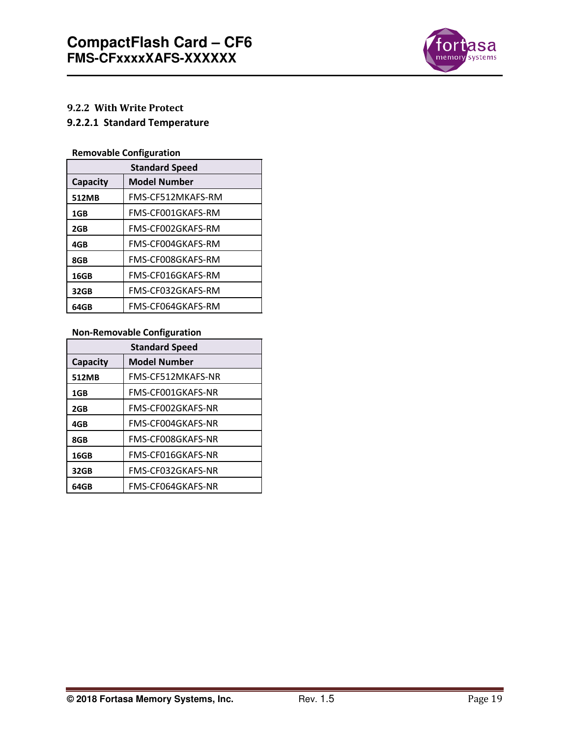

# **9.2.2 With Write Protect**

# **9.2.2.1 Standard Temperature**

# **Removable Configuration**

| <b>Standard Speed</b> |                     |  |
|-----------------------|---------------------|--|
| Capacity              | <b>Model Number</b> |  |
| 512MB                 | FMS-CF512MKAFS-RM   |  |
| 1GB                   | FMS-CF001GKAFS-RM   |  |
| 2GB                   | FMS-CF002GKAFS-RM   |  |
| 4GB                   | FMS-CF004GKAFS-RM   |  |
| 8GB                   | FMS-CF008GKAFS-RM   |  |
| 16GB                  | FMS-CF016GKAFS-RM   |  |
| 32GB                  | FMS-CF032GKAFS-RM   |  |
| 64GB                  | FMS-CF064GKAFS-RM   |  |

## **Non-Removable Configuration**

| <b>Standard Speed</b> |                   |  |
|-----------------------|-------------------|--|
| Capacity              | Model Number      |  |
| 512MB                 | FMS-CF512MKAFS-NR |  |
| 1GB                   | FMS-CF001GKAFS-NR |  |
| 2GB                   | FMS-CF002GKAFS-NR |  |
| 4GB                   | FMS-CF004GKAFS-NR |  |
| 8GB                   | FMS-CF008GKAFS-NR |  |
| 16GB                  | FMS-CF016GKAFS-NR |  |
| 32GB                  | FMS-CF032GKAFS-NR |  |
| 64GB                  | FMS-CF064GKAFS-NR |  |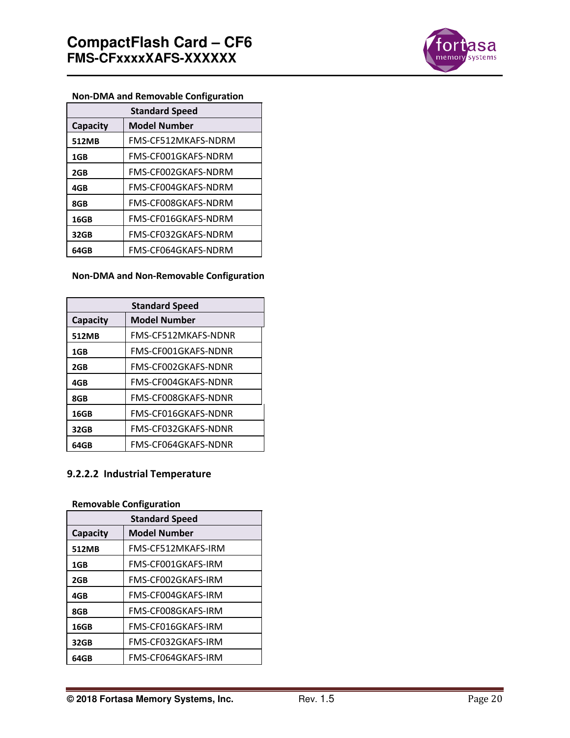

# **Non-DMA and Removable Configuration**

| <b>Standard Speed</b> |                     |  |
|-----------------------|---------------------|--|
| <b>Capacity</b>       | <b>Model Number</b> |  |
| 512MB                 | FMS-CF512MKAFS-NDRM |  |
| 1GB                   | FMS-CF001GKAFS-NDRM |  |
| 2GB                   | FMS-CF002GKAFS-NDRM |  |
| 4GB                   | FMS-CF004GKAFS-NDRM |  |
| 8GB                   | FMS-CF008GKAFS-NDRM |  |
| 16GB                  | FMS-CF016GKAFS-NDRM |  |
| 32GB                  | FMS-CF032GKAFS-NDRM |  |
| 64GB                  | FMS-CF064GKAFS-NDRM |  |

#### **Non-DMA and Non-Removable Configuration**

| <b>Standard Speed</b> |                     |  |
|-----------------------|---------------------|--|
| Capacity              | <b>Model Number</b> |  |
| 512MB                 | FMS-CF512MKAFS-NDNR |  |
| 1GB                   | FMS-CF001GKAFS-NDNR |  |
| 2GB                   | FMS-CF002GKAFS-NDNR |  |
| 4GB                   | FMS-CF004GKAFS-NDNR |  |
| 8GB                   | FMS-CF008GKAFS-NDNR |  |
| 16GB                  | FMS-CF016GKAFS-NDNR |  |
| 32GB                  | FMS-CF032GKAFS-NDNR |  |
| 64GB                  | FMS-CF064GKAFS-NDNR |  |

## **9.2.2.2 Industrial Temperature**

## **Removable Configuration**

| <b>Standard Speed</b> |                    |  |
|-----------------------|--------------------|--|
| Capacity              | Model Number       |  |
| 512MB                 | FMS-CF512MKAFS-IRM |  |
| 1GB                   | FMS-CF001GKAFS-IRM |  |
| 2GB                   | FMS-CF002GKAFS-IRM |  |
| 4GB                   | FMS-CF004GKAFS-IRM |  |
| 8GB                   | FMS-CF008GKAFS-IRM |  |
| 16GB                  | FMS-CF016GKAFS-IRM |  |
| 32GB                  | FMS-CF032GKAFS-IRM |  |
| 64GB                  | FMS-CF064GKAFS-IRM |  |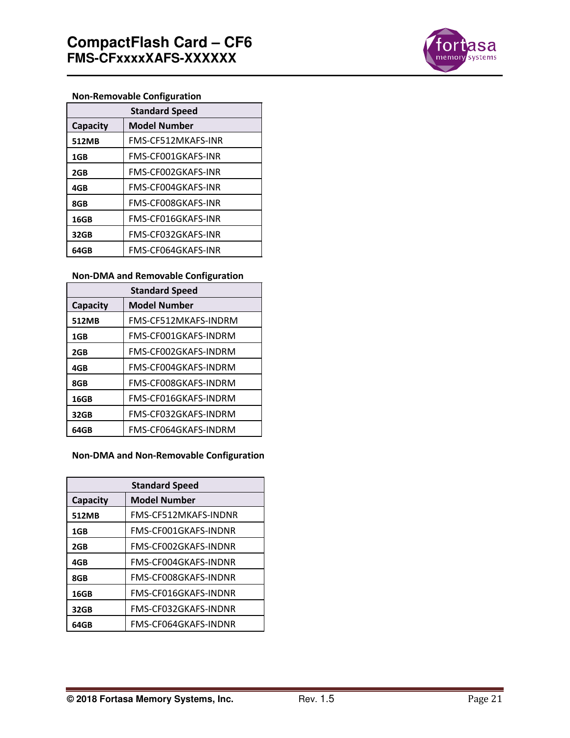

# **Non-Removable Configuration**

| <b>Standard Speed</b> |                     |  |
|-----------------------|---------------------|--|
| Capacity              | <b>Model Number</b> |  |
| 512MB                 | FMS-CF512MKAFS-INR  |  |
| 1GB                   | FMS-CF001GKAFS-INR  |  |
| 2GB                   | FMS-CF002GKAFS-INR  |  |
| 4GB                   | FMS-CF004GKAFS-INR  |  |
| 8GB                   | FMS-CF008GKAFS-INR  |  |
| 16GB                  | FMS-CF016GKAFS-INR  |  |
| 32GB                  | FMS-CF032GKAFS-INR  |  |
| 64GB                  | FMS-CF064GKAFS-INR  |  |

#### **Non-DMA and Removable Configuration**

| <b>Standard Speed</b> |                      |  |
|-----------------------|----------------------|--|
| Capacity              | <b>Model Number</b>  |  |
| 512MB                 | FMS-CF512MKAFS-INDRM |  |
| 1GB                   | FMS-CF001GKAFS-INDRM |  |
| 2GB                   | FMS-CF002GKAFS-INDRM |  |
| 4GB                   | FMS-CF004GKAFS-INDRM |  |
| 8GB                   | FMS-CF008GKAFS-INDRM |  |
| 16GB                  | FMS-CF016GKAFS-INDRM |  |
| 32GB                  | FMS-CF032GKAFS-INDRM |  |
| 64GB                  | FMS-CF064GKAFS-INDRM |  |

**Non-DMA and Non-Removable Configuration** 

| <b>Standard Speed</b> |                      |  |
|-----------------------|----------------------|--|
| Capacity              | <b>Model Number</b>  |  |
| 512MB                 | FMS-CF512MKAFS-INDNR |  |
| 1GB                   | FMS-CF001GKAFS-INDNR |  |
| 2GB                   | FMS-CF002GKAFS-INDNR |  |
| 4GB                   | FMS-CF004GKAFS-INDNR |  |
| 8GB                   | FMS-CF008GKAFS-INDNR |  |
| 16GB                  | FMS-CF016GKAFS-INDNR |  |
| 32GB                  | FMS-CF032GKAFS-INDNR |  |
| 64GB                  | FMS-CF064GKAFS-INDNR |  |